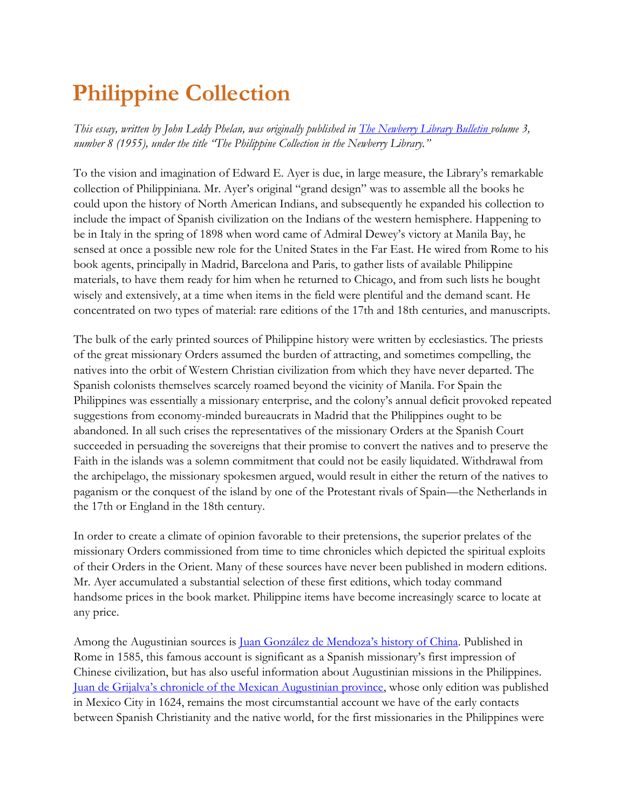## **Philippine Collection**

*This essay, written by John Leddy Phelan, was originally published in [The Newberry Library Bulletin v](http://vufind.carli.illinois.edu/vf-nby/Record/nby_74882)olume 3, number 8 (1955), under the title "The Philippine Collection in the Newberry Library."*

To the vision and imagination of Edward E. Ayer is due, in large measure, the Library's remarkable collection of Philippiniana. Mr. Ayer's original "grand design" was to assemble all the books he could upon the history of North American Indians, and subsequently he expanded his collection to include the impact of Spanish civilization on the Indians of the western hemisphere. Happening to be in Italy in the spring of 1898 when word came of Admiral Dewey's victory at Manila Bay, he sensed at once a possible new role for the United States in the Far East. He wired from Rome to his book agents, principally in Madrid, Barcelona and Paris, to gather lists of available Philippine materials, to have them ready for him when he returned to Chicago, and from such lists he bought wisely and extensively, at a time when items in the field were plentiful and the demand scant. He concentrated on two types of material: rare editions of the 17th and 18th centuries, and manuscripts.

The bulk of the early printed sources of Philippine history were written by ecclesiastics. The priests of the great missionary Orders assumed the burden of attracting, and sometimes compelling, the natives into the orbit of Western Christian civilization from which they have never departed. The Spanish colonists themselves scarcely roamed beyond the vicinity of Manila. For Spain the Philippines was essentially a missionary enterprise, and the colony's annual deficit provoked repeated suggestions from economy-minded bureaucrats in Madrid that the Philippines ought to be abandoned. In all such crises the representatives of the missionary Orders at the Spanish Court succeeded in persuading the sovereigns that their promise to convert the natives and to preserve the Faith in the islands was a solemn commitment that could not be easily liquidated. Withdrawal from the archipelago, the missionary spokesmen argued, would result in either the return of the natives to paganism or the conquest of the island by one of the Protestant rivals of Spain—the Netherlands in the 17th or England in the 18th century.

In order to create a climate of opinion favorable to their pretensions, the superior prelates of the missionary Orders commissioned from time to time chronicles which depicted the spiritual exploits of their Orders in the Orient. Many of these sources have never been published in modern editions. Mr. Ayer accumulated a substantial selection of these first editions, which today command handsome prices in the book market. Philippine items have become increasingly scarce to locate at any price.

Among the Augustinian sources is [Juan González de Mendoza's history of China](http://vufind.carli.illinois.edu/vf-nby/Record/nby_403246). Published in Rome in 1585, this famous account is significant as a Spanish missionary's first impression of Chinese civilization, but has also useful information about Augustinian missions in the Philippines. [Juan de Grijalva's chronicle of the Mexican Augustinian province](http://vufind.carli.illinois.edu/vf-nby/Record/nby_414309), whose only edition was published in Mexico City in 1624, remains the most circumstantial account we have of the early contacts between Spanish Christianity and the native world, for the first missionaries in the Philippines were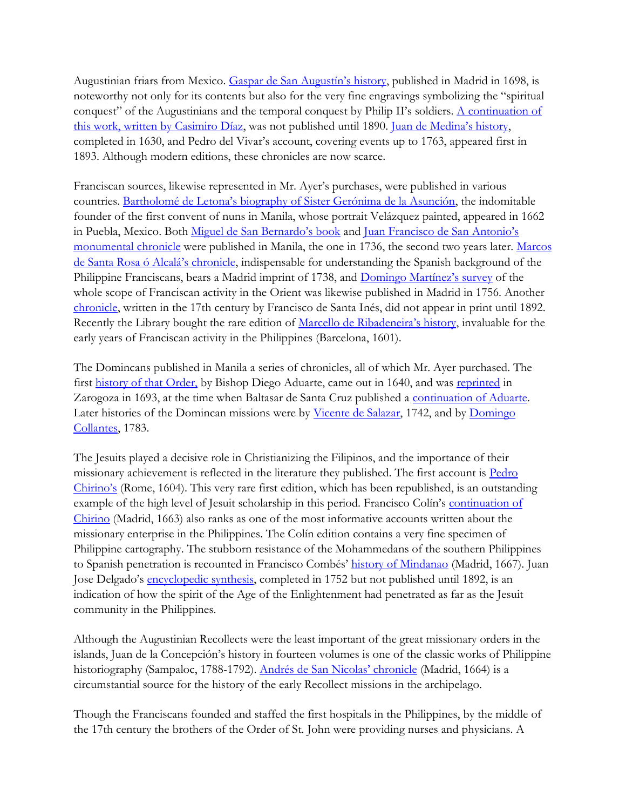Augustinian friars from Mexico. [Gaspar de San Augustín's history](http://vufind.carli.illinois.edu/vf-nby/Record/nby_388634), published in Madrid in 1698, is noteworthy not only for its contents but also for the very fine engravings symbolizing the "spiritual conquest" of the Augustinians and the temporal conquest by Philip II's soldiers. [A continuation of](http://vufind.carli.illinois.edu/vf-nby/Record/nby_334147)  [this work, written by Casimiro Díaz,](http://vufind.carli.illinois.edu/vf-nby/Record/nby_334147) was not published until 1890. Juan de [Medina's history](http://vufind.carli.illinois.edu/vf-nby/Record/nby_649310), completed in 1630, and Pedro del Vivar's account, covering events up to 1763, appeared first in 1893. Although modern editions, these chronicles are now scarce.

Franciscan sources, likewise represented in Mr. Ayer's purchases, were published in various countries. [Bartholomé de Letona's biography of Sister Gerónima de la Asunción](http://vufind.carli.illinois.edu/vf-nby/Record/nby_135045), the indomitable founder of the first convent of nuns in Manila, whose portrait Velázquez painted, appeared in 1662 in Puebla, Mexico. Both [Miguel de San Bernardo's book](http://vufind.carli.illinois.edu/vf-nby/Record/nby_654990) and [Juan Francisco de San Antonio's](http://vufind.carli.illinois.edu/vf-nby/Record/nby_87276)  [monumental chronicle](http://vufind.carli.illinois.edu/vf-nby/Record/nby_87276) were published in Manila, the one in 1736, the second two years later. [Marcos](http://vufind.carli.illinois.edu/vf-nby/Record/nby_188619)  [de Santa Rosa ó Alcalá's chronicle](http://vufind.carli.illinois.edu/vf-nby/Record/nby_188619), indispensable for understanding the Spanish background of the Philippine Franciscans, bears a Madrid imprint of 1738, and [Domingo Martínez's survey](http://vufind.carli.illinois.edu/vf-nby/Record/nby_534596) of the whole scope of Franciscan activity in the Orient was likewise published in Madrid in 1756. Another [chronicle,](http://vufind.carli.illinois.edu/vf-nby/Record/nby_685761) written in the 17th century by Francisco de Santa Inés, did not appear in print until 1892. Recently the Library bought the rare edition of [Marcello de Ribadeneira's history](http://vufind.carli.illinois.edu/vf-nby/Record/nby_634530), invaluable for the early years of Franciscan activity in the Philippines (Barcelona, 1601).

The Domincans published in Manila a series of chronicles, all of which Mr. Ayer purchased. The first [history of that Order,](http://vufind.carli.illinois.edu/vf-nby/Record/nby_196985) by Bishop Diego Aduarte, came out in 1640, and was [reprinted](http://vufind.carli.illinois.edu/vf-nby/Record/nby_196984) in Zarogoza in 1693, at the time when Baltasar de Santa Cruz published a [continuation of Aduarte.](http://vufind.carli.illinois.edu/vf-nby/Record/nby_196984) Later histories of the Domincan missions were by [Vicente de Salazar,](http://vufind.carli.illinois.edu/vf-nby/Record/nby_651422) 1742, and by Domingo [Collantes,](http://vufind.carli.illinois.edu/vf-nby/Record/nby_301820) 1783.

The Jesuits played a decisive role in Christianizing the Filipinos, and the importance of their missionary achievement is reflected in the literature they published. The first account is [Pedro](http://vufind.carli.illinois.edu/vf-nby/Record/nby_324225)  [Chirino's](http://vufind.carli.illinois.edu/vf-nby/Record/nby_324225) (Rome, 1604). This very rare first edition, which has been republished, is an outstanding example of the high level of Jesuit scholarship in this period. Francisco Colín's continuation of [Chirino](http://vufind.carli.illinois.edu/vf-nby/Record/nby_301619) (Madrid, 1663) also ranks as one of the most informative accounts written about the missionary enterprise in the Philippines. The Colín edition contains a very fine specimen of Philippine cartography. The stubborn resistance of the Mohammedans of the southern Philippines to Spanish penetration is recounted in Francisco Combés' [history of Mindanao](http://vufind.carli.illinois.edu/vf-nby/Record/nby_306097) (Madrid, 1667). Juan Jose Delgado's [encyclopedic synthesis,](http://vufind.carli.illinois.edu/vf-nby/Record/nby_235211) completed in 1752 but not published until 1892, is an indication of how the spirit of the Age of the Enlightenment had penetrated as far as the Jesuit community in the Philippines.

Although the Augustinian Recollects were the least important of the great missionary orders in the islands, Juan de la Concepción's history in fourteen volumes is one of the classic works of Philippine historiography (Sampaloc, 1788-1792). [Andrés de San Nicolas' chronicle](http://vufind.carli.illinois.edu/vf-nby/Record/nby_653325) (Madrid, 1664) is a circumstantial source for the history of the early Recollect missions in the archipelago.

Though the Franciscans founded and staffed the first hospitals in the Philippines, by the middle of the 17th century the brothers of the Order of St. John were providing nurses and physicians. A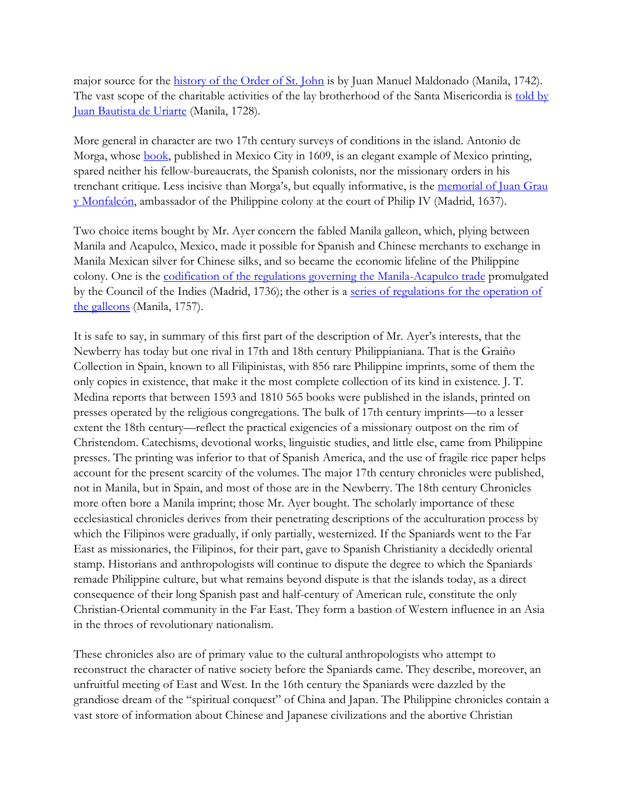major source for the [history of the Order of St. John](http://vufind.carli.illinois.edu/vf-nby/Record/nby_183288) is by Juan Manuel Maldonado (Manila, 1742). The vast scope of the charitable activities of the lay brotherhood of the Santa Misericordia is told by [Juan Bautista de Uriarte](http://vufind.carli.illinois.edu/vf-nby/Record/nby_749904) (Manila, 1728).

More general in character are two 17th century surveys of conditions in the island. Antonio de Morga, whose <u>book</u>, published in Mexico City in 1609, is an elegant example of Mexico printing, spared neither his fellow-bureaucrats, the Spanish colonists, nor the missionary orders in his trenchant critique. Less incisive than Morga's, but equally informative, is the memorial of Juan Grau [y Monfalcón,](http://vufind.carli.illinois.edu/vf-nby/Record/nby_443505) ambassador of the Philippine colony at the court of Philip IV (Madrid, 1637).

Two choice items bought by Mr. Ayer concern the fabled Manila galleon, which, plying between Manila and Acapulco, Mexico, made it possible for Spanish and Chinese merchants to exchange in Manila Mexican silver for Chinese silks, and so became the economic lifeline of the Philippine colony. One is the [codification of the regulations governing the Manila-Acapulco trade](http://vufind.carli.illinois.edu/vf-nby/Record/nby_699570) promulgated by the Council of the Indies (Madrid, 1736); the other is a [series of regulations for the operation of](http://vufind.carli.illinois.edu/vf-nby/Record/nby_631146)  [the galleons](http://vufind.carli.illinois.edu/vf-nby/Record/nby_631146) (Manila, 1757).

It is safe to say, in summary of this first part of the description of Mr. Ayer's interests, that the Newberry has today but one rival in 17th and 18th century Philippianiana. That is the Graiño Collection in Spain, known to all Filipinistas, with 856 rare Philippine imprints, some of them the only copies in existence, that make it the most complete collection of its kind in existence. J. T. Medina reports that between 1593 and 1810 565 books were published in the islands, printed on presses operated by the religious congregations. The bulk of 17th century imprints—to a lesser extent the 18th century—reflect the practical exigencies of a missionary outpost on the rim of Christendom. Catechisms, devotional works, linguistic studies, and little else, came from Philippine presses. The printing was inferior to that of Spanish America, and the use of fragile rice paper helps account for the present scarcity of the volumes. The major 17th century chronicles were published, not in Manila, but in Spain, and most of those are in the Newberry. The 18th century Chronicles more often bore a Manila imprint; those Mr. Ayer bought. The scholarly importance of these ecclesiastical chronicles derives from their penetrating descriptions of the acculturation process by which the Filipinos were gradually, if only partially, westernized. If the Spaniards went to the Far East as missionaries, the Filipinos, for their part, gave to Spanish Christianity a decidedly oriental stamp. Historians and anthropologists will continue to dispute the degree to which the Spaniards remade Philippine culture, but what remains beyond dispute is that the islands today, as a direct consequence of their long Spanish past and half-century of American rule, constitute the only Christian-Oriental community in the Far East. They form a bastion of Western influence in an Asia in the throes of revolutionary nationalism.

These chronicles also are of primary value to the cultural anthropologists who attempt to reconstruct the character of native society before the Spaniards came. They describe, moreover, an unfruitful meeting of East and West. In the 16th century the Spaniards were dazzled by the grandiose dream of the "spiritual conquest" of China and Japan. The Philippine chronicles contain a vast store of information about Chinese and Japanese civilizations and the abortive Christian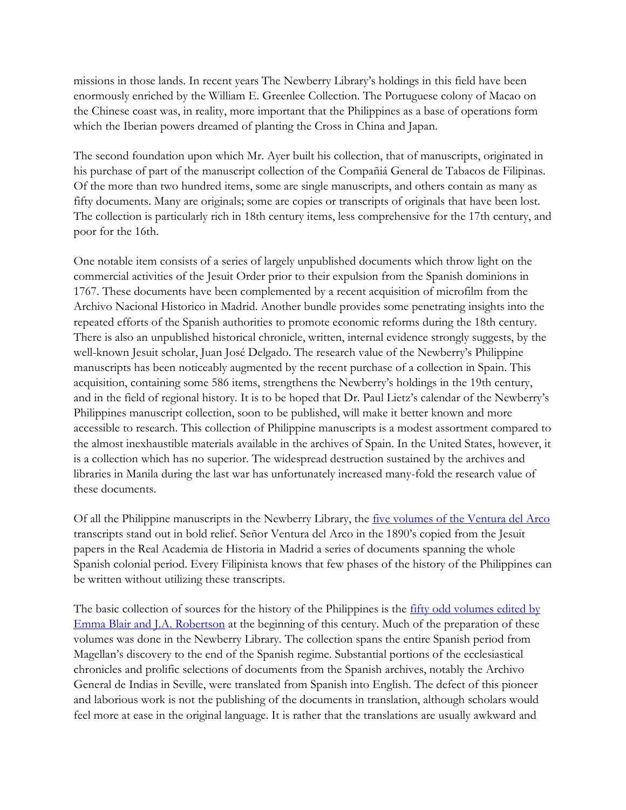missions in those lands. In recent years The Newberry Library's holdings in this field have been enormously enriched by the William E. Greenlee Collection. The Portuguese colony of Macao on the Chinese coast was, in reality, more important that the Philippines as a base of operations form which the Iberian powers dreamed of planting the Cross in China and Japan.

The second foundation upon which Mr. Ayer built his collection, that of manuscripts, originated in his purchase of part of the manuscript collection of the Compañiá General de Tabacos de Filipinas. Of the more than two hundred items, some are single manuscripts, and others contain as many as fifty documents. Many are originals; some are copies or transcripts of originals that have been lost. The collection is particularly rich in 18th century items, less comprehensive for the 17th century, and poor for the 16th.

One notable item consists of a series of largely unpublished documents which throw light on the commercial activities of the Jesuit Order prior to their expulsion from the Spanish dominions in 1767. These documents have been complemented by a recent acquisition of microfilm from the Archivo Nacional Historico in Madrid. Another bundle provides some penetrating insights into the repeated efforts of the Spanish authorities to promote economic reforms during the 18th century. There is also an unpublished historical chronicle, written, internal evidence strongly suggests, by the well-known Jesuit scholar, Juan José Delgado. The research value of the Newberry's Philippine manuscripts has been noticeably augmented by the recent purchase of a collection in Spain. This acquisition, containing some 586 items, strengthens the Newberry's holdings in the 19th century, and in the field of regional history. It is to be hoped that Dr. Paul Lietz's calendar of the Newberry's Philippines manuscript collection, soon to be published, will make it better known and more accessible to research. This collection of Philippine manuscripts is a modest assortment compared to the almost inexhaustible materials available in the archives of Spain. In the United States, however, it is a collection which has no superior. The widespread destruction sustained by the archives and libraries in Manila during the last war has unfortunately increased many-fold the research value of these documents.

Of all the Philippine manuscripts in the Newberry Library, the [five volumes of the Ventura del Arco](http://vufind.carli.illinois.edu/vf-nby/Record/nby_129350) transcripts stand out in bold relief. Señor Ventura del Arco in the 1890's copied from the Jesuit papers in the Real Academia de Historia in Madrid a series of documents spanning the whole Spanish colonial period. Every Filipinista knows that few phases of the history of the Philippines can be written without utilizing these transcripts.

The basic collection of sources for the history of the Philippines is the <u>fifty odd volumes edited by</u> [Emma Blair and J.A. Robertson](http://vufind.carli.illinois.edu/vf-nby/Record/nby_240987) at the beginning of this century. Much of the preparation of these volumes was done in the Newberry Library. The collection spans the entire Spanish period from Magellan's discovery to the end of the Spanish regime. Substantial portions of the ecclesiastical chronicles and prolific selections of documents from the Spanish archives, notably the Archivo General de Indias in Seville, were translated from Spanish into English. The defect of this pioneer and laborious work is not the publishing of the documents in translation, although scholars would feel more at ease in the original language. It is rather that the translations are usually awkward and